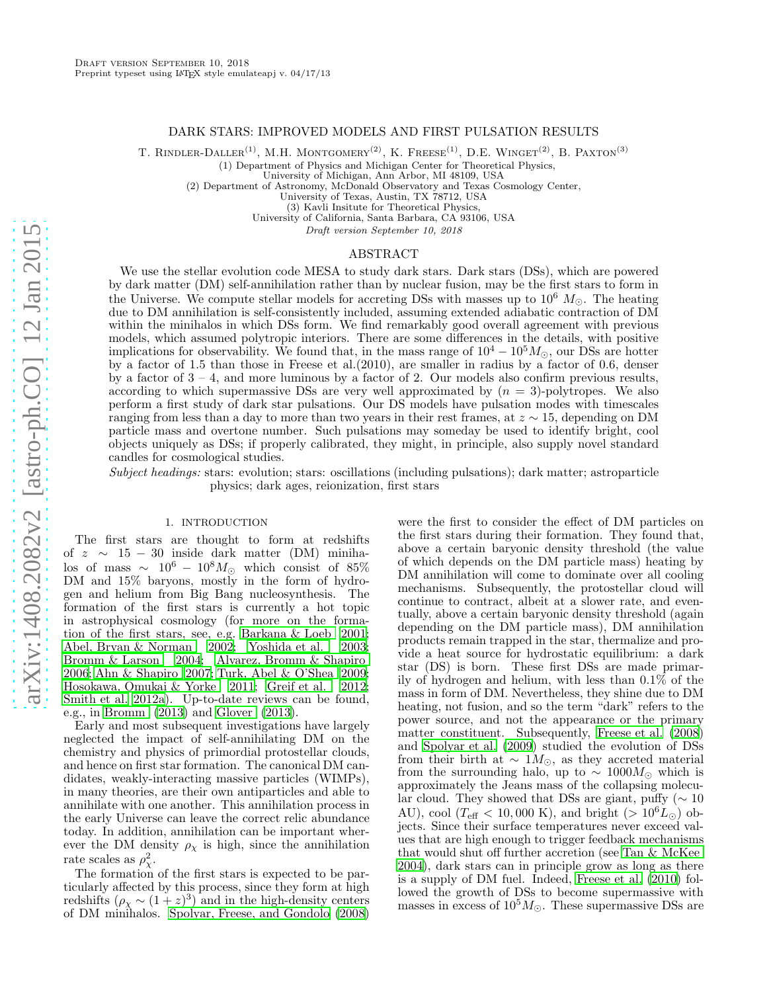# DARK STARS: IMPROVED MODELS AND FIRST PULSATION RESULTS

T. RINDLER-DALLER<sup>(1)</sup>, M.H. MONTGOMERY<sup>(2)</sup>, K. FREESE<sup>(1)</sup>, D.E. WINGET<sup>(2)</sup>, B. PAXTON<sup>(3)</sup>

(1) Department of Physics and Michigan Center for Theoretical Physics,

University of Michigan, Ann Arbor, MI 48109, USA

(2) Department of Astronomy, McDonald Observatory and Texas Cosmology Center,

University of Texas, Austin, TX 78712, USA

(3) Kavli Insitute for Theoretical Physics,

University of California, Santa Barbara, CA 93106, USA

Draft version September 10, 2018

# ABSTRACT

We use the stellar evolution code MESA to study dark stars. Dark stars (DSs), which are powered by dark matter (DM) self-annihilation rather than by nuclear fusion, may be the first stars to form in the Universe. We compute stellar models for accreting DSs with masses up to  $10^6$   $M_{\odot}$ . The heating due to DM annihilation is self-consistently included, assuming extended adiabatic contraction of DM within the minihalos in which DSs form. We find remarkably good overall agreement with previous models, which assumed polytropic interiors. There are some differences in the details, with positive implications for observability. We found that, in the mass range of  $10^4 - 10^5 M_{\odot}$ , our DSs are hotter by a factor of 1.5 than those in Freese et al.(2010), are smaller in radius by a factor of 0.6, denser by a factor of  $3 - 4$ , and more luminous by a factor of 2. Our models also confirm previous results, according to which supermassive DSs are very well approximated by  $(n = 3)$ -polytropes. We also perform a first study of dark star pulsations. Our DS models have pulsation modes with timescales ranging from less than a day to more than two years in their rest frames, at z ∼ 15, depending on DM particle mass and overtone number. Such pulsations may someday be used to identify bright, cool objects uniquely as DSs; if properly calibrated, they might, in principle, also supply novel standard candles for cosmological studies.

Subject headings: stars: evolution; stars: oscillations (including pulsations); dark matter; astroparticle physics; dark ages, reionization, first stars

## 1. INTRODUCTION

The first stars are thought to form at redshifts of  $z \sim 15 - 30$  inside dark matter (DM) minihalos of mass  $\sim 10^6 - 10^8 M_{\odot}$  which consist of 85% DM and  $15\%$  baryons, mostly in the form of hydrogen and helium from Big Bang nucleosynthesis. The formation of the first stars is currently a hot topic in astrophysical cosmology (for more on the formation of the first stars, see, e.g. [Barkana & Loeb 2001;](#page-16-0) [Abel, Bryan & Norman 2002](#page-16-1); [Yoshida et al. 2003;](#page-16-2) [Bromm & Larson 2004;](#page-16-3) [Alvarez, Bromm & Shapiro](#page-16-4) [2006;](#page-16-4) [Ahn & Shapiro 2007](#page-16-5); [Turk, Abel & O'Shea 2009;](#page-16-6) [Hosokawa, Omukai & Yorke 2011](#page-16-7); [Greif et al. 2012;](#page-16-8) [Smith et al. 2012a\)](#page-16-9). Up-to-date reviews can be found, e.g., in [Bromm \(2013\)](#page-16-10) and [Glover \(2013\)](#page-16-11).

Early and most subsequent investigations have largely neglected the impact of self-annihilating DM on the chemistry and physics of primordial protostellar clouds, and hence on first star formation. The canonical DM candidates, weakly-interacting massive particles (WIMPs), in many theories, are their own antiparticles and able to annihilate with one another. This annihilation process in the early Universe can leave the correct relic abundance today. In addition, annihilation can be important wherever the DM density  $\rho_{\chi}$  is high, since the annihilation rate scales as  $\rho_{\chi}^2$ .

The formation of the first stars is expected to be particularly affected by this process, since they form at high redshifts  $(\rho_\chi \sim (1+z)^3)$  and in the high-density centers of DM minihalos. [Spolyar, Freese, and Gondolo \(2008](#page-16-12))

were the first to consider the effect of DM particles on the first stars during their formation. They found that, above a certain baryonic density threshold (the value of which depends on the DM particle mass) heating by DM annihilation will come to dominate over all cooling mechanisms. Subsequently, the protostellar cloud will continue to contract, albeit at a slower rate, and eventually, above a certain baryonic density threshold (again depending on the DM particle mass), DM annihilation products remain trapped in the star, thermalize and provide a heat source for hydrostatic equilibrium: a dark star (DS) is born. These first DSs are made primarily of hydrogen and helium, with less than  $0.1\%$  of the mass in form of DM. Nevertheless, they shine due to DM heating, not fusion, and so the term "dark" refers to the power source, and not the appearance or the primary matter constituent. Subsequently, [Freese et al. \(2008](#page-16-13)) and [Spolyar et al. \(2009\)](#page-16-14) studied the evolution of DSs from their birth at ~ 1 $M_{\odot}$ , as they accreted material from the surrounding halo, up to  $\sim 1000 M_{\odot}$  which is approximately the Jeans mass of the collapsing molecular cloud. They showed that DSs are giant, puffy ( $\sim 10$ AU), cool ( $T_{\text{eff}}$  < 10,000 K), and bright (>  $10^6 L_{\odot}$ ) objects. Since their surface temperatures never exceed values that are high enough to trigger feedback mechanisms that would shut off further accretion (see [Tan & McKee](#page-16-15) [2004\)](#page-16-15), dark stars can in principle grow as long as there is a supply of DM fuel. Indeed, [Freese et al. \(2010](#page-16-16)) followed the growth of DSs to become supermassive with masses in excess of  $10^5 M_{\odot}$ . These supermassive DSs are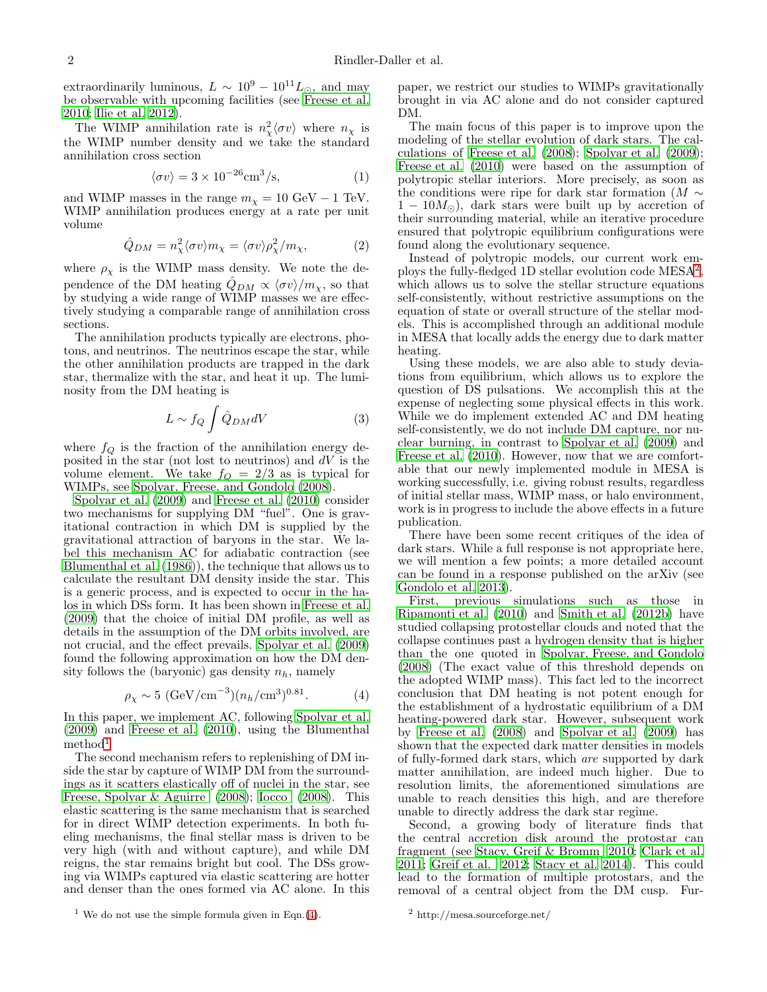extraordinarily luminous,  $L \sim 10^9 - 10^{11} L_{\odot}$ , and may be observable with upcoming facilities (see [Freese et al.](#page-16-16) [2010;](#page-16-16) [Ilie et al. 2012](#page-16-17)).

The WIMP annihilation rate is  $n_{\chi}^2 \langle \sigma v \rangle$  where  $n_{\chi}$  is the WIMP number density and we take the standard annihilation cross section

$$
\langle \sigma v \rangle = 3 \times 10^{-26} \text{cm}^3/\text{s},\tag{1}
$$

and WIMP masses in the range  $m_{\chi} = 10 \text{ GeV} - 1 \text{ TeV}$ . WIMP annihilation produces energy at a rate per unit volume

<span id="page-1-3"></span>
$$
\hat{Q}_{DM} = n_{\chi}^{2} \langle \sigma v \rangle m_{\chi} = \langle \sigma v \rangle \rho_{\chi}^{2} / m_{\chi}, \tag{2}
$$

where  $\rho_{\chi}$  is the WIMP mass density. We note the dependence of the DM heating  $\hat{Q}_{DM} \propto \langle \sigma v \rangle / m_{\chi}$ , so that by studying a wide range of WIMP masses we are effectively studying a comparable range of annihilation cross sections.

The annihilation products typically are electrons, photons, and neutrinos. The neutrinos escape the star, while the other annihilation products are trapped in the dark star, thermalize with the star, and heat it up. The luminosity from the DM heating is

<span id="page-1-4"></span>
$$
L \sim f_Q \int \hat{Q}_{DM} dV \tag{3}
$$

where  $f_Q$  is the fraction of the annihilation energy deposited in the star (not lost to neutrinos) and  $dV$  is the volume element. We take  $f_Q = 2/3$  as is typical for WIMPs, see [Spolyar, Freese, and Gondolo \(2008\)](#page-16-12).

[Spolyar et al. \(2009\)](#page-16-14) and [Freese et al. \(2010](#page-16-16)) consider two mechanisms for supplying DM "fuel". One is gravitational contraction in which DM is supplied by the gravitational attraction of baryons in the star. We label this mechanism AC for adiabatic contraction (see [Blumenthal et al. \(1986\)](#page-16-18)), the technique that allows us to calculate the resultant DM density inside the star. This is a generic process, and is expected to occur in the halos in which DSs form. It has been shown in [Freese et al.](#page-16-19) [\(2009\)](#page-16-19) that the choice of initial DM profile, as well as details in the assumption of the DM orbits involved, are not crucial, and the effect prevails. [Spolyar et al. \(2009](#page-16-14)) found the following approximation on how the DM density follows the (baryonic) gas density  $n_h$ , namely

<span id="page-1-1"></span>
$$
\rho_X \sim 5 \ (\text{GeV/cm}^{-3}) (n_h / \text{cm}^3)^{0.81}.
$$
 (4)

In this paper, we implement AC, following [Spolyar et al.](#page-16-14) [\(2009\)](#page-16-14) and [Freese et al. \(2010\)](#page-16-16), using the Blumenthal  $method<sup>1</sup>$  $method<sup>1</sup>$  $method<sup>1</sup>$ 

The second mechanism refers to replenishing of DM inside the star by capture of WIMP DM from the surroundings as it scatters elastically off of nuclei in the star, see [Freese, Spolyar & Aguirre \(2008\)](#page-16-20); [Iocco \(2008\)](#page-16-21). This elastic scattering is the same mechanism that is searched for in direct WIMP detection experiments. In both fueling mechanisms, the final stellar mass is driven to be very high (with and without capture), and while DM reigns, the star remains bright but cool. The DSs growing via WIMPs captured via elastic scattering are hotter and denser than the ones formed via AC alone. In this

paper, we restrict our studies to WIMPs gravitationally brought in via AC alone and do not consider captured DM.

The main focus of this paper is to improve upon the modeling of the stellar evolution of dark stars. The calculations of [Freese et al. \(2008\)](#page-16-13); [Spolyar et al. \(2009](#page-16-14)); [Freese et al. \(2010](#page-16-16)) were based on the assumption of polytropic stellar interiors. More precisely, as soon as the conditions were ripe for dark star formation ( $M \sim$  $1 - 10M_{\odot}$ , dark stars were built up by accretion of their surrounding material, while an iterative procedure ensured that polytropic equilibrium configurations were found along the evolutionary sequence.

Instead of polytropic models, our current work em-ploys the fully-fledged 1D stellar evolution code MESA<sup>[2](#page-1-2)</sup>, which allows us to solve the stellar structure equations self-consistently, without restrictive assumptions on the equation of state or overall structure of the stellar models. This is accomplished through an additional module in MESA that locally adds the energy due to dark matter heating.

Using these models, we are also able to study deviations from equilibrium, which allows us to explore the question of DS pulsations. We accomplish this at the expense of neglecting some physical effects in this work. While we do implement extended AC and DM heating self-consistently, we do not include DM capture, nor nuclear burning, in contrast to [Spolyar et al. \(2009\)](#page-16-14) and [Freese et al. \(2010\)](#page-16-16). However, now that we are comfortable that our newly implemented module in MESA is working successfully, i.e. giving robust results, regardless of initial stellar mass, WIMP mass, or halo environment, work is in progress to include the above effects in a future publication.

There have been some recent critiques of the idea of dark stars. While a full response is not appropriate here, we will mention a few points; a more detailed account can be found in a response published on the arXiv (see [Gondolo et al. 2013\)](#page-16-22).

First, previous simulations such as those in [Ripamonti et al. \(2010\)](#page-16-23) and [Smith et al. \(2012b\)](#page-16-24) have studied collapsing protostellar clouds and noted that the collapse continues past a hydrogen density that is higher than the one quoted in [Spolyar, Freese, and Gondolo](#page-16-12) [\(2008\)](#page-16-12) (The exact value of this threshold depends on the adopted WIMP mass). This fact led to the incorrect conclusion that DM heating is not potent enough for the establishment of a hydrostatic equilibrium of a DM heating-powered dark star. However, subsequent work by [Freese et al. \(2008\)](#page-16-13) and [Spolyar et al. \(2009\)](#page-16-14) has shown that the expected dark matter densities in models of fully-formed dark stars, which are supported by dark matter annihilation, are indeed much higher. Due to resolution limits, the aforementioned simulations are unable to reach densities this high, and are therefore unable to directly address the dark star regime.

Second, a growing body of literature finds that the central accretion disk around the protostar can fragment (see [Stacy, Greif & Bromm 2010;](#page-16-25) [Clark et al.](#page-16-26) [2011;](#page-16-26) [Greif et al. 2012;](#page-16-8) [Stacy et al. 2014](#page-16-27)). This could lead to the formation of multiple protostars, and the removal of a central object from the DM cusp. Fur-

<span id="page-1-0"></span><sup>&</sup>lt;sup>1</sup> We do not use the simple formula given in Eqn.[\(4\)](#page-1-1).

<span id="page-1-2"></span><sup>2</sup> http://mesa.sourceforge.net/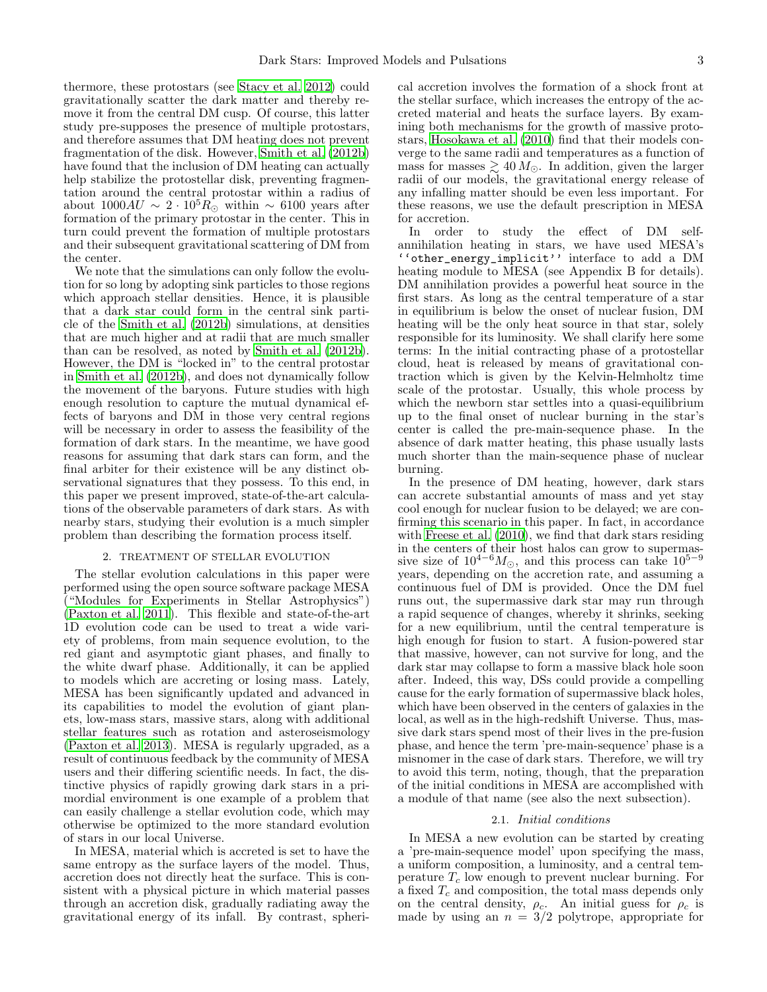thermore, these protostars (see [Stacy et al. 2012](#page-16-28)) could gravitationally scatter the dark matter and thereby remove it from the central DM cusp. Of course, this latter study pre-supposes the presence of multiple protostars, and therefore assumes that DM heating does not prevent fragmentation of the disk. However, [Smith et al. \(2012b](#page-16-24)) have found that the inclusion of DM heating can actually help stabilize the protostellar disk, preventing fragmentation around the central protostar within a radius of about  $1000AU \sim 2 \cdot 10^5 R_{\odot}$  within ~ 6100 years after formation of the primary protostar in the center. This in turn could prevent the formation of multiple protostars and their subsequent gravitational scattering of DM from the center.

We note that the simulations can only follow the evolution for so long by adopting sink particles to those regions which approach stellar densities. Hence, it is plausible that a dark star could form in the central sink particle of the [Smith et al. \(2012b](#page-16-24)) simulations, at densities that are much higher and at radii that are much smaller than can be resolved, as noted by [Smith et al. \(2012b\)](#page-16-24). However, the DM is "locked in" to the central protostar in [Smith et al. \(2012b\)](#page-16-24), and does not dynamically follow the movement of the baryons. Future studies with high enough resolution to capture the mutual dynamical effects of baryons and DM in those very central regions will be necessary in order to assess the feasibility of the formation of dark stars. In the meantime, we have good reasons for assuming that dark stars can form, and the final arbiter for their existence will be any distinct observational signatures that they possess. To this end, in this paper we present improved, state-of-the-art calculations of the observable parameters of dark stars. As with nearby stars, studying their evolution is a much simpler problem than describing the formation process itself.

# 2. TREATMENT OF STELLAR EVOLUTION

The stellar evolution calculations in this paper were performed using the open source software package MESA ("Modules for Experiments in Stellar Astrophysics") [\(Paxton et al. 2011\)](#page-16-29). This flexible and state-of-the-art 1D evolution code can be used to treat a wide variety of problems, from main sequence evolution, to the red giant and asymptotic giant phases, and finally to the white dwarf phase. Additionally, it can be applied to models which are accreting or losing mass. Lately, MESA has been significantly updated and advanced in its capabilities to model the evolution of giant planets, low-mass stars, massive stars, along with additional stellar features such as rotation and asteroseismology [\(Paxton et al. 2013\)](#page-16-30). MESA is regularly upgraded, as a result of continuous feedback by the community of MESA users and their differing scientific needs. In fact, the distinctive physics of rapidly growing dark stars in a primordial environment is one example of a problem that can easily challenge a stellar evolution code, which may otherwise be optimized to the more standard evolution of stars in our local Universe.

In MESA, material which is accreted is set to have the same entropy as the surface layers of the model. Thus, accretion does not directly heat the surface. This is consistent with a physical picture in which material passes through an accretion disk, gradually radiating away the gravitational energy of its infall. By contrast, spherical accretion involves the formation of a shock front at the stellar surface, which increases the entropy of the accreted material and heats the surface layers. By examining both mechanisms for the growth of massive protostars, [Hosokawa et al. \(2010](#page-16-31)) find that their models converge to the same radii and temperatures as a function of mass for masses  $\geq 40 M_{\odot}$ . In addition, given the larger radii of our models, the gravitational energy release of any infalling matter should be even less important. For these reasons, we use the default prescription in MESA for accretion.

In order to study the effect of DM selfannihilation heating in stars, we have used MESA's ''other\_energy\_implicit'' interface to add a DM heating module to MESA (see Appendix B for details). DM annihilation provides a powerful heat source in the first stars. As long as the central temperature of a star in equilibrium is below the onset of nuclear fusion, DM heating will be the only heat source in that star, solely responsible for its luminosity. We shall clarify here some terms: In the initial contracting phase of a protostellar cloud, heat is released by means of gravitational contraction which is given by the Kelvin-Helmholtz time scale of the protostar. Usually, this whole process by which the newborn star settles into a quasi-equilibrium up to the final onset of nuclear burning in the star's center is called the pre-main-sequence phase. In the absence of dark matter heating, this phase usually lasts much shorter than the main-sequence phase of nuclear burning.

In the presence of DM heating, however, dark stars can accrete substantial amounts of mass and yet stay cool enough for nuclear fusion to be delayed; we are confirming this scenario in this paper. In fact, in accordance with Freese et al.  $(2010)$ , we find that dark stars residing in the centers of their host halos can grow to supermassive size of  $10^{4-6}M_{\odot}$ , and this process can take  $10^{5-9}$ years, depending on the accretion rate, and assuming a continuous fuel of DM is provided. Once the DM fuel runs out, the supermassive dark star may run through a rapid sequence of changes, whereby it shrinks, seeking for a new equilibrium, until the central temperature is high enough for fusion to start. A fusion-powered star that massive, however, can not survive for long, and the dark star may collapse to form a massive black hole soon after. Indeed, this way, DSs could provide a compelling cause for the early formation of supermassive black holes, which have been observed in the centers of galaxies in the local, as well as in the high-redshift Universe. Thus, massive dark stars spend most of their lives in the pre-fusion phase, and hence the term 'pre-main-sequence' phase is a misnomer in the case of dark stars. Therefore, we will try to avoid this term, noting, though, that the preparation of the initial conditions in MESA are accomplished with a module of that name (see also the next subsection).

## 2.1. Initial conditions

In MESA a new evolution can be started by creating a 'pre-main-sequence model' upon specifying the mass, a uniform composition, a luminosity, and a central temperature  $T_c$  low enough to prevent nuclear burning. For a fixed  $T_c$  and composition, the total mass depends only on the central density,  $\rho_c$ . An initial guess for  $\rho_c$  is made by using an  $n = 3/2$  polytrope, appropriate for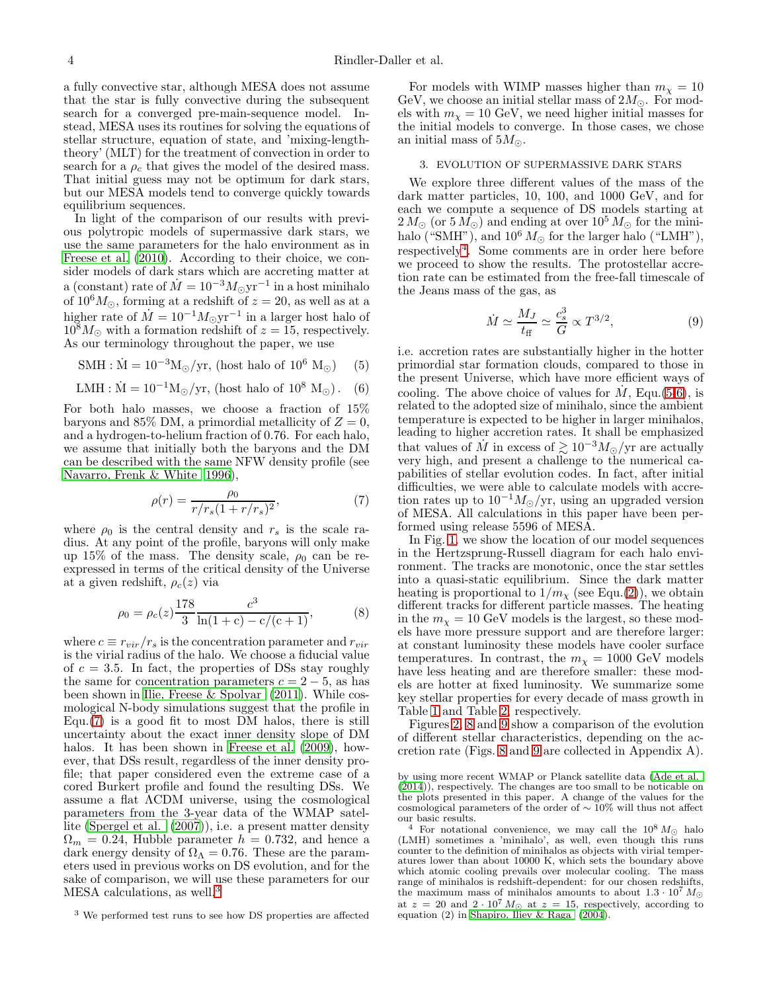a fully convective star, although MESA does not assume that the star is fully convective during the subsequent search for a converged pre-main-sequence model. Instead, MESA uses its routines for solving the equations of stellar structure, equation of state, and 'mixing-lengththeory' (MLT) for the treatment of convection in order to search for a  $\rho_c$  that gives the model of the desired mass. That initial guess may not be optimum for dark stars, but our MESA models tend to converge quickly towards equilibrium sequences.

In light of the comparison of our results with previous polytropic models of supermassive dark stars, we use the same parameters for the halo environment as in [Freese et al. \(2010\)](#page-16-16). According to their choice, we consider models of dark stars which are accreting matter at a (constant) rate of  $\dot{M} = 10^{-3} M_{\odot} \text{yr}^{-1}$  in a host minihalo of  $10^6 M_{\odot}$ , forming at a redshift of  $z = 20$ , as well as at a higher rate of  $\dot{M} = 10^{-1} M_{\odot} \text{yr}^{-1}$  in a larger host halo of  $10^8 M_{\odot}$  with a formation redshift of  $z = 15$ , respectively. As our terminology throughout the paper, we use

<span id="page-3-3"></span>
$$
\text{SMH} : \dot{M} = 10^{-3} \text{M}_{\odot}/\text{yr}, \text{ (host halo of } 10^6 \text{ M}_{\odot}) \quad (5)
$$

<span id="page-3-4"></span>
$$
LMH : \dot{M} = 10^{-1} M_{\odot}/yr
$$
, (host halo of 10<sup>8</sup> M<sub>o</sub>). (6)

For both halo masses, we choose a fraction of 15% baryons and 85% DM, a primordial metallicity of  $Z=0$ , and a hydrogen-to-helium fraction of 0.76. For each halo, we assume that initially both the baryons and the DM can be described with the same NFW density profile (see [Navarro, Frenk & White 1996](#page-16-32)),

<span id="page-3-0"></span>
$$
\rho(r) = \frac{\rho_0}{r/r_s(1 + r/r_s)^2},\tag{7}
$$

where  $\rho_0$  is the central density and  $r_s$  is the scale radius. At any point of the profile, baryons will only make up 15% of the mass. The density scale,  $\rho_0$  can be reexpressed in terms of the critical density of the Universe at a given redshift,  $\rho_c(z)$  via

$$
\rho_0 = \rho_c(z) \frac{178}{3} \frac{c^3}{\ln(1+c) - c/(c+1)},\tag{8}
$$

where  $c \equiv r_{vir}/r_s$  is the concentration parameter and  $r_{vir}$ is the virial radius of the halo. We choose a fiducial value of  $c = 3.5$ . In fact, the properties of DSs stay roughly the same for concentration parameters  $c = 2 - 5$ , as has been shown in [Ilie, Freese & Spolyar \(2011\)](#page-16-33). While cosmological N-body simulations suggest that the profile in Equ.[\(7\)](#page-3-0) is a good fit to most DM halos, there is still uncertainty about the exact inner density slope of DM halos. It has been shown in [Freese et al. \(2009](#page-16-19)), however, that DSs result, regardless of the inner density profile; that paper considered even the extreme case of a cored Burkert profile and found the resulting DSs. We assume a flat ΛCDM universe, using the cosmological parameters from the 3-year data of the WMAP satellite [\(Spergel et al. \(2007\)](#page-16-34)), i.e. a present matter density  $\Omega_m = 0.24$ , Hubble parameter  $h = 0.732$ , and hence a dark energy density of  $\Omega_{\Lambda} = 0.76$ . These are the parameters used in previous works on DS evolution, and for the sake of comparison, we will use these parameters for our  $\rm{MESA}$  calculations, as well.<sup>[3](#page-3-1)</sup>

For models with WIMP masses higher than  $m_{\chi} = 10$ GeV, we choose an initial stellar mass of  $2M_{\odot}$ . For models with  $m_{\chi} = 10$  GeV, we need higher initial masses for the initial models to converge. In those cases, we chose an initial mass of  $5M_{\odot}$ .

# 3. EVOLUTION OF SUPERMASSIVE DARK STARS

We explore three different values of the mass of the dark matter particles, 10, 100, and 1000 GeV, and for each we compute a sequence of DS models starting at  $2 M_{\odot}$  (or  $5 M_{\odot}$ ) and ending at over  $10^5 M_{\odot}$  for the minihalo ("SMH"), and  $10^6 M_{\odot}$  for the larger halo ("LMH"), respectively[4](#page-3-2) . Some comments are in order here before we proceed to show the results. The protostellar accretion rate can be estimated from the free-fall timescale of the Jeans mass of the gas, as

$$
\dot{M} \simeq \frac{M_J}{t_{\rm ff}} \simeq \frac{c_s^3}{G} \propto T^{3/2},\tag{9}
$$

i.e. accretion rates are substantially higher in the hotter primordial star formation clouds, compared to those in the present Universe, which have more efficient ways of cooling. The above choice of values for  $\dot{M}$ , Equ.[\(5](#page-3-3)[-6\)](#page-3-4), is related to the adopted size of minihalo, since the ambient temperature is expected to be higher in larger minihalos, leading to higher accretion rates. It shall be emphasized that values of  $\dot{M}$  in excess of  $\gtrsim 10^{-3} M_{\odot}/\text{yr}$  are actually very high, and present a challenge to the numerical capabilities of stellar evolution codes. In fact, after initial difficulties, we were able to calculate models with accretion rates up to  $10^{-1} M_{\odot}/yr$ , using an upgraded version of MESA. All calculations in this paper have been performed using release 5596 of MESA.

In Fig. [1,](#page-5-0) we show the location of our model sequences in the Hertzsprung-Russell diagram for each halo environment. The tracks are monotonic, once the star settles into a quasi-static equilibrium. Since the dark matter heating is proportional to  $1/m<sub>\chi</sub>$  (see Equ.[\(2\)](#page-1-3)), we obtain different tracks for different particle masses. The heating in the  $m<sub>x</sub> = 10$  GeV models is the largest, so these models have more pressure support and are therefore larger: at constant luminosity these models have cooler surface temperatures. In contrast, the  $m_{\chi} = 1000 \text{ GeV}$  models have less heating and are therefore smaller: these models are hotter at fixed luminosity. We summarize some key stellar properties for every decade of mass growth in Table [1](#page-4-0) and Table [2,](#page-4-1) respectively.

Figures [2,](#page-5-1) [8](#page-13-0) and [9](#page-13-1) show a comparison of the evolution of different stellar characteristics, depending on the accretion rate (Figs. [8](#page-13-0) and [9](#page-13-1) are collected in Appendix A).

<span id="page-3-1"></span><sup>&</sup>lt;sup>3</sup> We performed test runs to see how DS properties are affected

by using more recent WMAP or Planck satellite data [\(Ade et al.](#page-16-35) [\(2014\)](#page-16-35)), respectively. The changes are too small to be noticable on the plots presented in this paper. A change of the values for the cosmological parameters of the order of ∼ 10% will thus not affect our basic results.

<span id="page-3-2"></span><sup>&</sup>lt;sup>4</sup> For notational convenience, we may call the  $10^8 M_{\odot}$  halo (LMH) sometimes a 'minihalo', as well, even though this runs counter to the definition of minihalos as objects with virial temperatures lower than about 10000 K, which sets the boundary above which atomic cooling prevails over molecular cooling. The mass range of minihalos is redshift-dependent: for our chosen redshifts, the maximum mass of minihalos amounts to about  $1.3 \cdot 10^7 M_{\odot}$ at  $z = 20$  and  $2 \cdot 10^7 M_{\odot}$  at  $z = 15$ , respectively, according to equation (2) in [Shapiro, Iliev & Raga \(2004](#page-16-36)).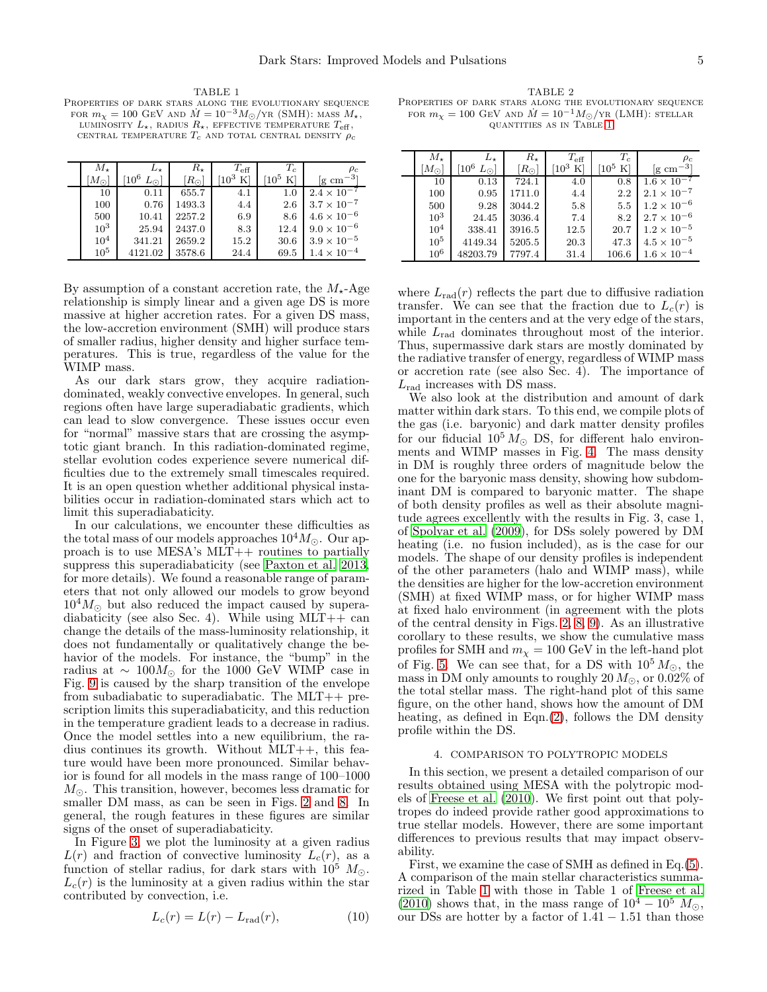<span id="page-4-0"></span>TABLE 1 Properties of dark stars along the evolutionary sequence FOR  $m_X = 100$  GeV and  $\dot{M} = 10^{-3} M_{\odot}/\text{yr}$  (SMH): mass  $M_{\star}$ , LUMINOSITY  $L_{\star}$ , RADIUS  $R_{\star}$ , EFFECTIVE TEMPERATURE  $T_{\text{eff}}$ , CENTRAL TEMPERATURE  $T_c$  and total central density  $\rho_c$ 

| $M_{\ast}$      | $L_{\star}$                  | R.                   | $T_{\rm eff}$ | $T_c$       | $\rho_c$                           |
|-----------------|------------------------------|----------------------|---------------|-------------|------------------------------------|
| $M_{\odot}$     | $\rm ^{f10^6}$<br>$L_{\cap}$ | $\mathbb{R}_{\odot}$ | $10^3$ K      | $10^5$<br>K | $\rm{g}$ cm <sup>-3</sup> $\rm{g}$ |
| 10              | 0.11                         | 655.7                | 4.1           | 1.0         | $2.4 \times 10^{-7}$               |
| 100             | 0.76                         | 1493.3               | 4.4           | 2.6         | $3.7 \times 10^{-7}$               |
| 500             | 10.41                        | 2257.2               | 6.9           | 8.6         | $4.6\times10^{-6}$                 |
| $10^{3}$        | 25.94                        | 2437.0               | 8.3           | 12.4        | $9.0\times10^{-6}$                 |
| 10 <sup>4</sup> | 341.21                       | 2659.2               | 15.2          | 30.6        | $3.9\times10^{-5}$                 |
| 10 <sup>5</sup> | 4121.02                      | 3578.6               | 24.4          | 69.5        | $1.4 \times 10^{-4}$               |

By assumption of a constant accretion rate, the  $M_{\star}$ -Age relationship is simply linear and a given age DS is more massive at higher accretion rates. For a given DS mass, the low-accretion environment (SMH) will produce stars of smaller radius, higher density and higher surface temperatures. This is true, regardless of the value for the WIMP mass.

As our dark stars grow, they acquire radiationdominated, weakly convective envelopes. In general, such regions often have large superadiabatic gradients, which can lead to slow convergence. These issues occur even for "normal" massive stars that are crossing the asymptotic giant branch. In this radiation-dominated regime, stellar evolution codes experience severe numerical difficulties due to the extremely small timescales required. It is an open question whether additional physical instabilities occur in radiation-dominated stars which act to limit this superadiabaticity.

In our calculations, we encounter these difficulties as the total mass of our models approaches  $10^4 M_{\odot}$ . Our approach is to use MESA's MLT++ routines to partially suppress this superadiabaticity (see [Paxton et al. 2013,](#page-16-30) for more details). We found a reasonable range of parameters that not only allowed our models to grow beyond  $10^4 M_{\odot}$  but also reduced the impact caused by superadiabaticity (see also Sec. 4). While using  $MLT++$  can change the details of the mass-luminosity relationship, it does not fundamentally or qualitatively change the behavior of the models. For instance, the "bump" in the radius at  $\sim 100 M_{\odot}$  for the 1000 GeV WIMP case in Fig. [9](#page-13-1) is caused by the sharp transition of the envelope from subadiabatic to superadiabatic. The MLT++ prescription limits this superadiabaticity, and this reduction in the temperature gradient leads to a decrease in radius. Once the model settles into a new equilibrium, the radius continues its growth. Without MLT++, this feature would have been more pronounced. Similar behavior is found for all models in the mass range of 100–1000  $M_{\odot}$ . This transition, however, becomes less dramatic for smaller DM mass, as can be seen in Figs. [2](#page-5-1) and [8.](#page-13-0) In general, the rough features in these figures are similar signs of the onset of superadiabaticity.

In Figure [3,](#page-6-0) we plot the luminosity at a given radius  $L(r)$  and fraction of convective luminosity  $L_c(r)$ , as a function of stellar radius, for dark stars with  $10^5$   $M_{\odot}$ .  $L_c(r)$  is the luminosity at a given radius within the star contributed by convection, i.e.

$$
L_c(r) = L(r) - L_{\text{rad}}(r),\tag{10}
$$

<span id="page-4-1"></span>TABLE 2 Properties of dark stars along the evolutionary sequence FOR  $m<sub>X</sub> = 100$  GeV and  $\dot{M} = 10^{-1} M_{\odot}/\text{yr}$  (LMH): stellar quantities as in Table [1](#page-4-0)

| $M_{\ast}$      | $L_{\ast}$       | $R_{\star}$   | $T_{\rm eff}$     | $T_c$                   | $\rho_c$                  |
|-----------------|------------------|---------------|-------------------|-------------------------|---------------------------|
| $M_{\odot}$     | [ $10^6$<br>ا ن∠ | $[R_{\odot}]$ | $\rm ^{103}$<br>K | $\rm ^{\rm f10^5}$<br>K | $\rm{kg} \; \rm{cm}^{-3}$ |
| 10              | 0.13             | 724.1         | 4.0               | 0.8                     | $1.6 \times 10^{-7}$      |
| 100             | 0.95             | 1711.0        | 4.4               | 2.2                     | $2.1 \times 10^{-7}$      |
| 500             | 9.28             | 3044.2        | 5.8               | 5.5                     | $1.2 \times 10^{-6}$      |
| $10^3$          | 24.45            | 3036.4        | 7.4               | 8.2                     | $2.7\times10^{-6}$        |
| 10 <sup>4</sup> | 338.41           | 3916.5        | 12.5              | 20.7                    | $1.2 \times 10^{-5}$      |
| $10^5$          | 4149.34          | 5205.5        | 20.3              | 47.3                    | $4.5\times10^{-5}$        |
| $10^6$          | 48203.79         | 7797.4        | 31.4              | 106.6                   | $1.6\times10^{-4}$        |

where  $L_{rad}(r)$  reflects the part due to diffusive radiation transfer. We can see that the fraction due to  $L_c(r)$  is important in the centers and at the very edge of the stars, while  $L_{\text{rad}}$  dominates throughout most of the interior. Thus, supermassive dark stars are mostly dominated by the radiative transfer of energy, regardless of WIMP mass or accretion rate (see also Sec. 4). The importance of  $L_{\text{rad}}$  increases with DS mass.

We also look at the distribution and amount of dark matter within dark stars. To this end, we compile plots of the gas (i.e. baryonic) and dark matter density profiles for our fiducial  $10^5 M_{\odot}$  DS, for different halo environments and WIMP masses in Fig. [4.](#page-7-0) The mass density in DM is roughly three orders of magnitude below the one for the baryonic mass density, showing how subdominant DM is compared to baryonic matter. The shape of both density profiles as well as their absolute magnitude agrees excellently with the results in Fig. 3, case 1, of [Spolyar et al. \(2009\)](#page-16-14), for DSs solely powered by DM heating (i.e. no fusion included), as is the case for our models. The shape of our density profiles is independent of the other parameters (halo and WIMP mass), while the densities are higher for the low-accretion environment (SMH) at fixed WIMP mass, or for higher WIMP mass at fixed halo environment (in agreement with the plots of the central density in Figs. [2,](#page-5-1) [8,](#page-13-0) [9\)](#page-13-1). As an illustrative corollary to these results, we show the cumulative mass profiles for SMH and  $m<sub>x</sub> = 100 \text{ GeV}$  in the left-hand plot of Fig. [5.](#page-8-0) We can see that, for a DS with  $10^5 M_{\odot}$ , the mass in DM only amounts to roughly 20  $M_{\odot}$ , or 0.02% of the total stellar mass. The right-hand plot of this same figure, on the other hand, shows how the amount of DM heating, as defined in Eqn.[\(2\)](#page-1-3), follows the DM density profile within the DS.

### 4. COMPARISON TO POLYTROPIC MODELS

In this section, we present a detailed comparison of our results obtained using MESA with the polytropic models of Freese et al.  $(2010)$ . We first point out that polytropes do indeed provide rather good approximations to true stellar models. However, there are some important differences to previous results that may impact observability.

First, we examine the case of SMH as defined in Eq.[\(5\)](#page-3-3). A comparison of the main stellar characteristics summarized in Table [1](#page-4-0) with those in Table 1 of [Freese et al.](#page-16-16) [\(2010\)](#page-16-16) shows that, in the mass range of  $10^4 - 10^5$   $M_{\odot}$ , our DSs are hotter by a factor of  $1.41 - 1.51$  than those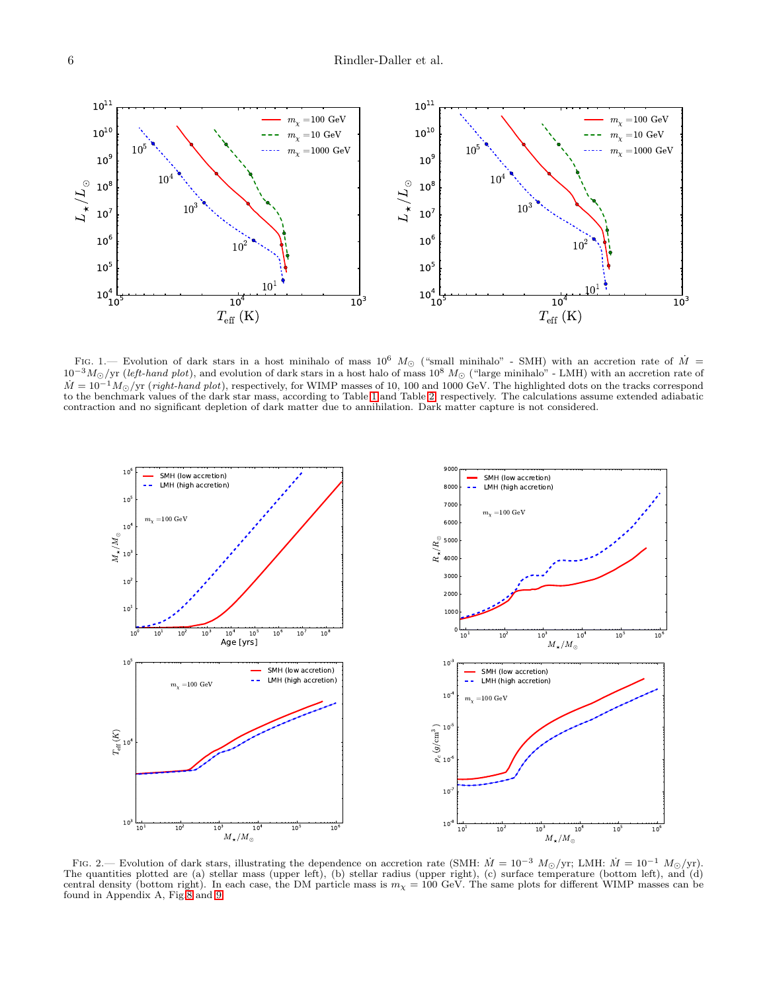

<span id="page-5-0"></span>FIG. 1.— Evolution of dark stars in a host minihalo of mass  $10^6$  M<sub>☉</sub> ("small minihalo" - SMH) with an accretion rate of  $\dot{M}$  =  $10^{-3}M_{\odot}/yr$  (left-hand plot), and evolution of dark stars in a host halo of mass  $10^8M_{\odot}$  ("large minihalo" - LMH) with an accretion rate of  $\dot{M} = 10^{-1} M_{\odot}/yr$  (right-hand plot), respectively, for WIMP masses of 10, 100 and 1000 GeV. The highlighted dots on the tracks correspond to the benchmark values of the dark star mass, according to Table [1](#page-4-0) and Table [2,](#page-4-1) respectively. The calculations assume extended adiabatic contraction and no significant depletion of dark matter due to annihilation. Dark matter capture is not considered.



<span id="page-5-1"></span>FIG. 2.— Evolution of dark stars, illustrating the dependence on accretion rate (SMH:  $\dot{M} = 10^{-3} M_{\odot}/yr$ ; LMH:  $\dot{M} = 10^{-1} M_{\odot}/yr$ ). The quantities plotted are (a) stellar mass (upper left), (b) stellar radius (upper right), (c) surface temperature (bottom left), and (d) central density (bottom right). In each case, the DM particle mass is  $m_{\chi} = 100$  GeV. The same plots for different WIMP masses can be found in Appendix A, Fig[.8](#page-13-0) and [9.](#page-13-1)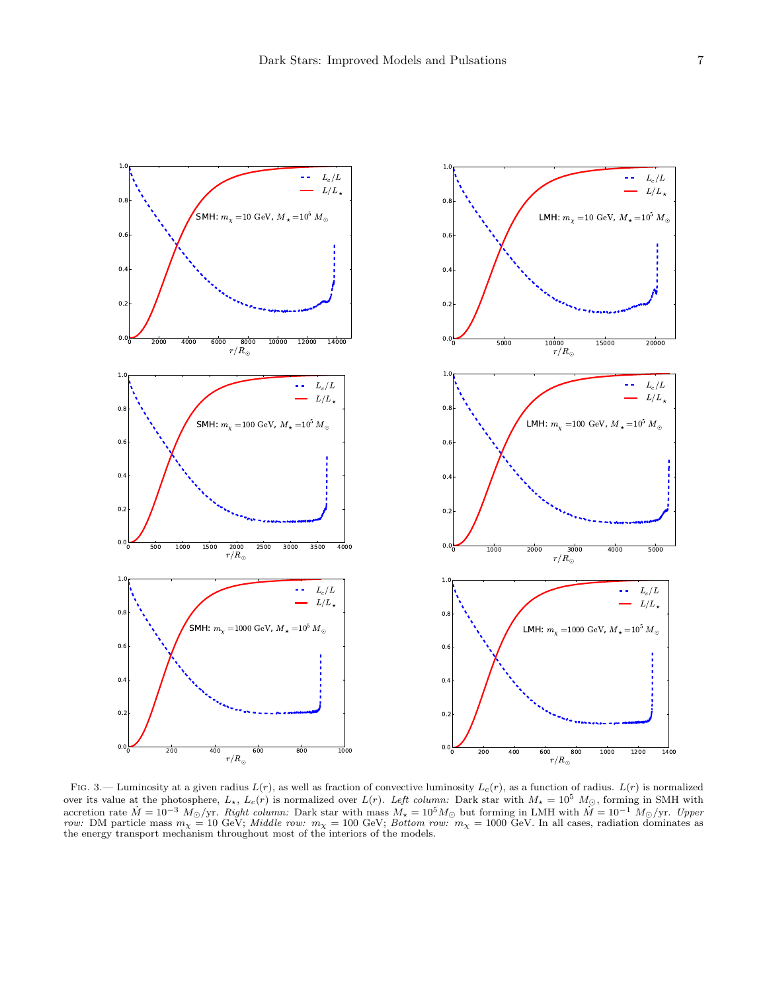

<span id="page-6-0"></span>FIG. 3.— Luminosity at a given radius  $L(r)$ , as well as fraction of convective luminosity  $L_c(r)$ , as a function of radius.  $L(r)$  is normalized over its value at the photosphere,  $L_{\star}$ ,  $L_c(r)$  is normalized over  $L(r)$ . Left column: Dark star with  $M_{\star} = 10^5$   $M_{\odot}$ , forming in SMH with accretion rate  $\dot{M} = 10^{-3}$  M<sub>☉</sub>/yr. Right column: Dark star with mass  $M_{\star} = 10^{5} M_{\odot}$  but forming in LMH with  $\dot{M} = 10^{-1} M_{\odot}/yr$ . Upper row: DM particle mass  $m_{\chi} = 10$  GeV; *Middle row:*  $m_{\chi} = 100$  GeV; *Bottom row:*  $m_{\chi} = 1000$  GeV. In all cases, radiation dominates as the energy transport mechanism throughout most of the interiors of the models.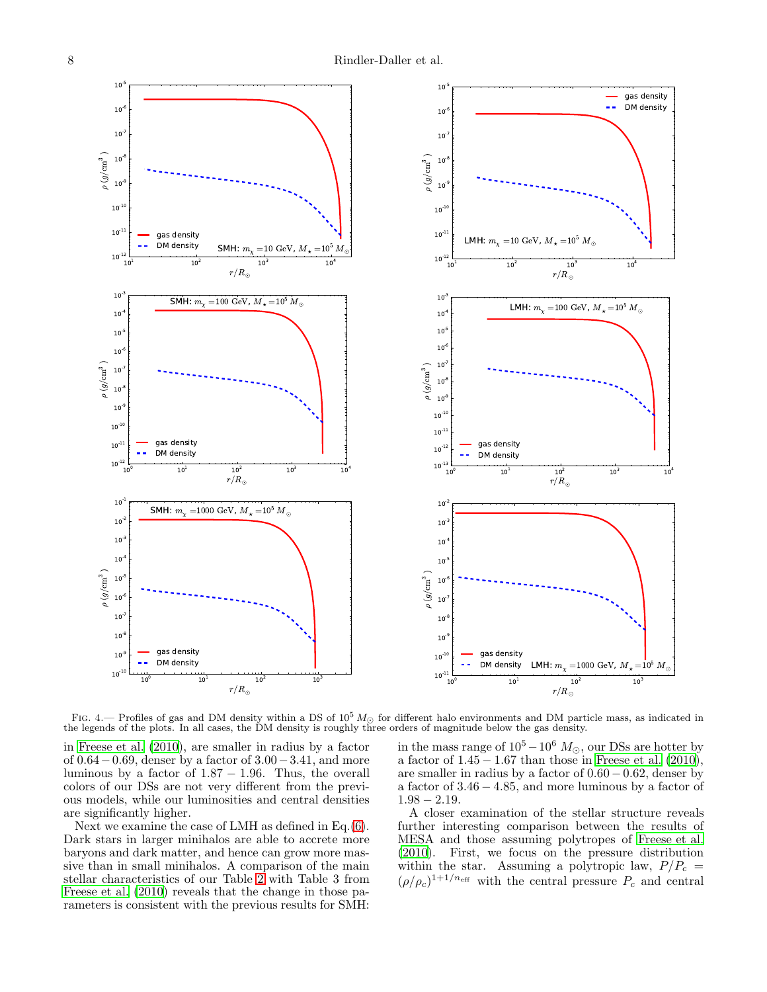

<span id="page-7-0"></span>FIG. 4.— Profiles of gas and DM density within a DS of  $10^5 M_{\odot}$  for different halo environments and DM particle mass, as indicated in the legends of the plots. In all cases, the DM density is roughly three orders of magnitude below the gas density.

in [Freese et al. \(2010\)](#page-16-16), are smaller in radius by a factor of 0.64−0.69, denser by a factor of 3.00−3.41, and more luminous by a factor of  $1.87 - 1.96$ . Thus, the overall colors of our DSs are not very different from the previous models, while our luminosities and central densities are significantly higher.

Next we examine the case of LMH as defined in Eq.[\(6\)](#page-3-4). Dark stars in larger minihalos are able to accrete more baryons and dark matter, and hence can grow more massive than in small minihalos. A comparison of the main stellar characteristics of our Table [2](#page-4-1) with Table 3 from [Freese et al. \(2010\)](#page-16-16) reveals that the change in those parameters is consistent with the previous results for SMH:

in the mass range of  $10^5-10^6$   $M_{\odot}$ , our DSs are hotter by a factor of  $1.45 - 1.67$  than those in Freese et al.  $(2010)$ , are smaller in radius by a factor of 0.60−0.62, denser by a factor of 3.46 − 4.85, and more luminous by a factor of  $1.98 - 2.19$ .

A closer examination of the stellar structure reveals further interesting comparison between the results of MESA and those assuming polytropes of [Freese et al.](#page-16-16) [\(2010\)](#page-16-16). First, we focus on the pressure distribution within the star. Assuming a polytropic law,  $P/P_c$  =  $(\rho/\rho_c)^{1+1/n_{\text{eff}}}$  with the central pressure  $P_c$  and central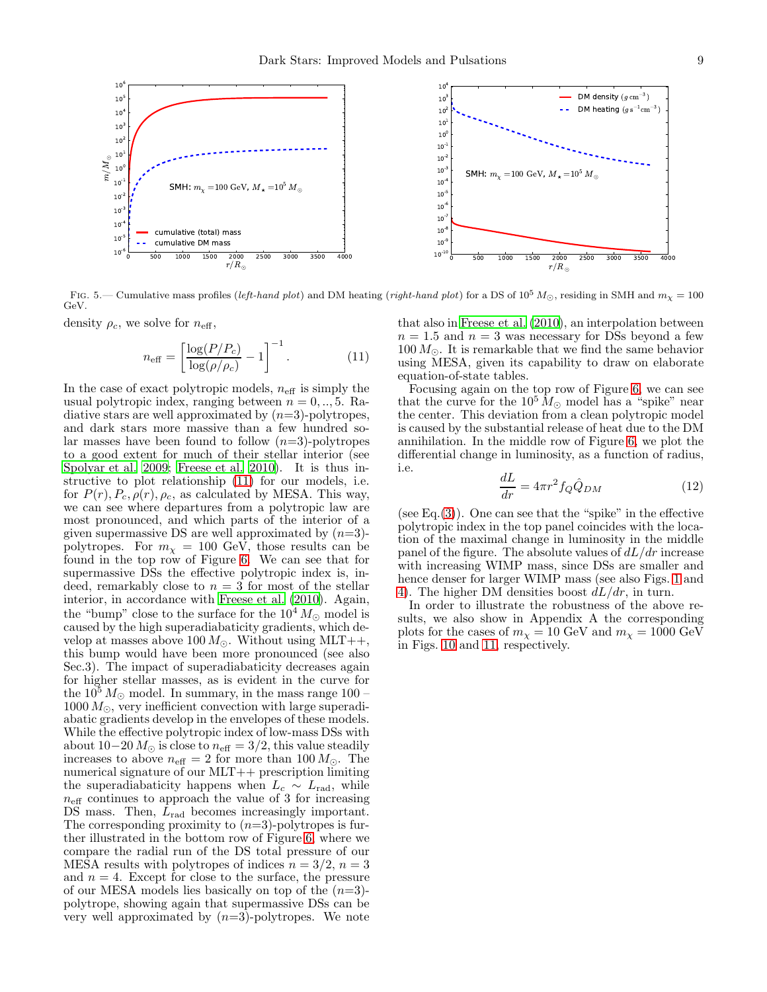

FIG. 5.— Cumulative mass profiles (left-hand plot) and DM heating (right-hand plot) for a DS of  $10^5 M_{\odot}$ , residing in SMH and  $m_{\chi} = 100$ GeV.

density  $\rho_c$ , we solve for  $n_{\text{eff}}$ ,

<span id="page-8-1"></span><span id="page-8-0"></span>
$$
n_{\text{eff}} = \left[\frac{\log(P/P_c)}{\log(\rho/\rho_c)} - 1\right]^{-1}.
$$
 (11)

In the case of exact polytropic models,  $n_{\text{eff}}$  is simply the usual polytropic index, ranging between  $n = 0, \ldots, 5$ . Radiative stars are well approximated by  $(n=3)$ -polytropes, and dark stars more massive than a few hundred solar masses have been found to follow  $(n=3)$ -polytropes to a good extent for much of their stellar interior (see [Spolyar et al. 2009](#page-16-14); [Freese et al. 2010](#page-16-16)). It is thus instructive to plot relationship [\(11\)](#page-8-1) for our models, i.e. for  $P(r)$ ,  $P_c$ ,  $\rho(r)$ ,  $\rho_c$ , as calculated by MESA. This way, we can see where departures from a polytropic law are most pronounced, and which parts of the interior of a given supermassive DS are well approximated by  $(n=3)$ polytropes. For  $m<sub>x</sub> = 100$  GeV, those results can be found in the top row of Figure [6.](#page-9-0) We can see that for supermassive DSs the effective polytropic index is, indeed, remarkably close to  $n = 3$  for most of the stellar interior, in accordance with [Freese et al. \(2010\)](#page-16-16). Again, the "bump" close to the surface for the  $10^4 M_{\odot}$  model is caused by the high superadiabaticity gradients, which develop at masses above 100  $M_{\odot}$ . Without using MLT++, this bump would have been more pronounced (see also Sec.3). The impact of superadiabaticity decreases again for higher stellar masses, as is evident in the curve for the  $10^5 M_{\odot}$  model. In summary, in the mass range  $100 1000 M_{\odot}$ , very inefficient convection with large superadiabatic gradients develop in the envelopes of these models. While the effective polytropic index of low-mass DSs with about 10−20  $M_{\odot}$  is close to  $n_{\text{eff}} = 3/2$ , this value steadily increases to above  $n_{\text{eff}} = 2$  for more than 100  $M_{\odot}$ . The numerical signature of our MLT++ prescription limiting the superadiabaticity happens when  $L_c \sim L_{\text{rad}}$ , while  $n_{\text{eff}}$  continues to approach the value of 3 for increasing DS mass. Then,  $L_{rad}$  becomes increasingly important. The corresponding proximity to  $(n=3)$ -polytropes is further illustrated in the bottom row of Figure [6,](#page-9-0) where we compare the radial run of the DS total pressure of our MESA results with polytropes of indices  $n = 3/2$ ,  $n = 3$ and  $n = 4$ . Except for close to the surface, the pressure of our MESA models lies basically on top of the  $(n=3)$ polytrope, showing again that supermassive DSs can be very well approximated by  $(n=3)$ -polytropes. We note

that also in [Freese et al. \(2010\)](#page-16-16), an interpolation between  $n = 1.5$  and  $n = 3$  was necessary for DSs beyond a few 100  $M_{\odot}$ . It is remarkable that we find the same behavior using MESA, given its capability to draw on elaborate equation-of-state tables.

Focusing again on the top row of Figure [6,](#page-9-0) we can see that the curve for the  $10^5 M_{\odot}$  model has a "spike" near the center. This deviation from a clean polytropic model is caused by the substantial release of heat due to the DM annihilation. In the middle row of Figure [6,](#page-9-0) we plot the differential change in luminosity, as a function of radius, i.e.

$$
\frac{dL}{dr} = 4\pi r^2 f_Q \hat{Q}_{DM} \tag{12}
$$

(see Eq. $(3)$ ). One can see that the "spike" in the effective polytropic index in the top panel coincides with the location of the maximal change in luminosity in the middle panel of the figure. The absolute values of  $dL/dr$  increase with increasing WIMP mass, since DSs are smaller and hence denser for larger WIMP mass (see also Figs. [1](#page-5-0) and [4\)](#page-7-0). The higher DM densities boost  $dL/dr$ , in turn.

In order to illustrate the robustness of the above results, we also show in Appendix A the corresponding plots for the cases of  $m_{\chi} = 10$  GeV and  $m_{\chi} = 1000$  GeV in Figs. [10](#page-14-0) and [11,](#page-15-0) respectively.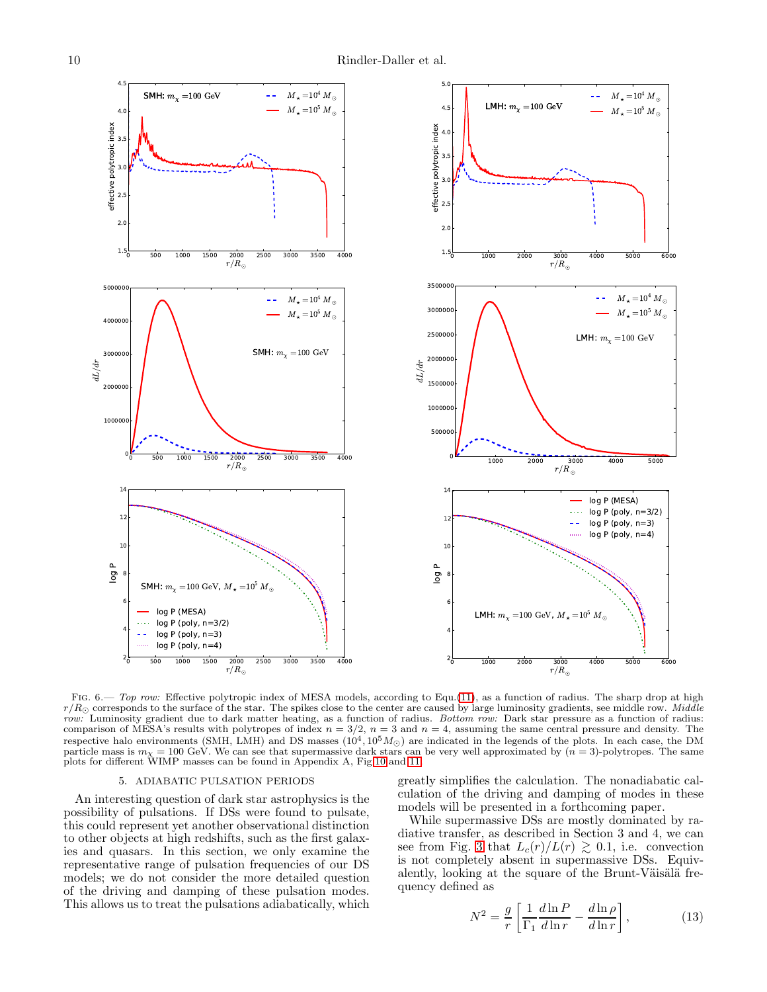

<span id="page-9-0"></span>FIG. 6.— Top row: Effective polytropic index of MESA models, according to Equ.[\(11\)](#page-8-1), as a function of radius. The sharp drop at high  $r/R_{\odot}$  corresponds to the surface of the star. The spikes close to the center are caused by large luminosity gradients, see middle row. Middle row: Luminosity gradient due to dark matter heating, as a function of radius. Bottom row: Dark star pressure as a function of radius: comparison of MESA's results with polytropes of index  $n = 3/2$ ,  $n = 3$  and  $n = 4$ , assuming the same central pressure and density. The respective halo environments (SMH, LMH) and DS masses  $(10^4, 10^5 M_{\odot})$  are indicated in the legends of the plots. In each case, the DM particle mass is  $m_{\chi} = 100$  GeV. We can see that supermassive dark stars can be very well approximated by  $(n = 3)$ -polytropes. The same plots for different WIMP masses can be found in Appendix A, Fig[.10](#page-14-0) and [11.](#page-15-0)

#### 5. ADIABATIC PULSATION PERIODS

An interesting question of dark star astrophysics is the possibility of pulsations. If DSs were found to pulsate, this could represent yet another observational distinction to other objects at high redshifts, such as the first galaxies and quasars. In this section, we only examine the representative range of pulsation frequencies of our DS models; we do not consider the more detailed question of the driving and damping of these pulsation modes. This allows us to treat the pulsations adiabatically, which

greatly simplifies the calculation. The nonadiabatic calculation of the driving and damping of modes in these models will be presented in a forthcoming paper.

While supermassive DSs are mostly dominated by radiative transfer, as described in Section 3 and 4, we can see from Fig. [3](#page-6-0) that  $L_c(r)/L(r) \gtrsim 0.1$ , i.e. convection is not completely absent in supermassive DSs. Equivalently, looking at the square of the Brunt-Väisälä frequency defined as

$$
N^2 = \frac{g}{r} \left[ \frac{1}{\Gamma_1} \frac{d \ln P}{d \ln r} - \frac{d \ln \rho}{d \ln r} \right],\tag{13}
$$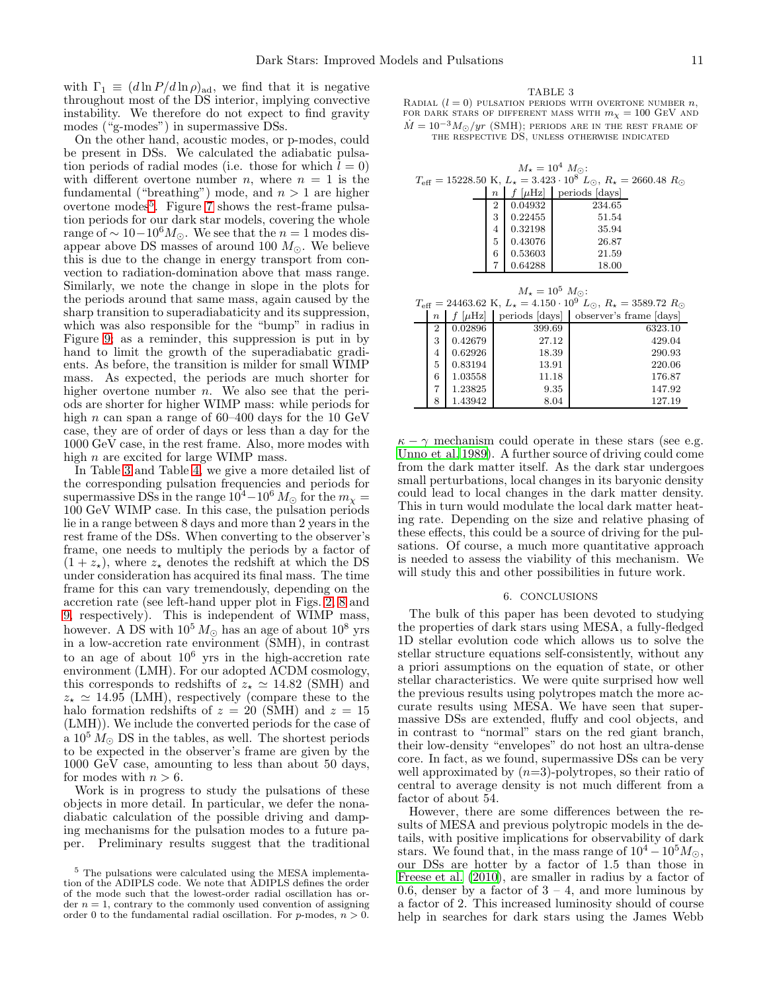with  $\Gamma_1 \equiv (d \ln P / d \ln \rho)_{\text{ad}}$ , we find that it is negative throughout most of the DS interior, implying convective instability. We therefore do not expect to find gravity modes ("g-modes") in supermassive DSs.

On the other hand, acoustic modes, or p-modes, could be present in DSs. We calculated the adiabatic pulsation periods of radial modes (i.e. those for which  $l = 0$ ) with different overtone number *n*, where  $n = 1$  is the fundamental ("breathing") mode, and  $n > 1$  are higher overtone modes<sup>[5](#page-10-0)</sup>. Figure [7](#page-11-0) shows the rest-frame pulsation periods for our dark star models, covering the whole range of  $\sim 10-10^6 M_{\odot}$ . We see that the  $n=1$  modes disappear above DS masses of around 100  $M_{\odot}$ . We believe this is due to the change in energy transport from convection to radiation-domination above that mass range. Similarly, we note the change in slope in the plots for the periods around that same mass, again caused by the sharp transition to superadiabaticity and its suppression, which was also responsible for the "bump" in radius in Figure [9;](#page-13-1) as a reminder, this suppression is put in by hand to limit the growth of the superadiabatic gradients. As before, the transition is milder for small WIMP mass. As expected, the periods are much shorter for higher overtone number  $n$ . We also see that the periods are shorter for higher WIMP mass: while periods for high n can span a range of  $60-400$  days for the 10 GeV case, they are of order of days or less than a day for the 1000 GeV case, in the rest frame. Also, more modes with high  $n$  are excited for large WIMP mass.

In Table [3](#page-10-1) and Table [4,](#page-12-0) we give a more detailed list of the corresponding pulsation frequencies and periods for supermassive DSs in the range  $10^4-10^6 M_{\odot}$  for the  $m_{\chi} =$ 100 GeV WIMP case. In this case, the pulsation periods lie in a range between 8 days and more than 2 years in the rest frame of the DSs. When converting to the observer's frame, one needs to multiply the periods by a factor of  $(1 + z_{\star})$ , where  $z_{\star}$  denotes the redshift at which the DS under consideration has acquired its final mass. The time frame for this can vary tremendously, depending on the accretion rate (see left-hand upper plot in Figs. [2,](#page-5-1) [8](#page-13-0) and [9,](#page-13-1) respectively). This is independent of WIMP mass, however. A DS with  $10^5 M_{\odot}$  has an age of about  $10^8$  yrs in a low-accretion rate environment (SMH), in contrast to an age of about  $10^6$  yrs in the high-accretion rate environment (LMH). For our adopted ΛCDM cosmology, this corresponds to redshifts of  $z_* \simeq 14.82$  (SMH) and  $z_{\star} \simeq 14.95$  (LMH), respectively (compare these to the halo formation redshifts of  $z = 20$  (SMH) and  $z = 15$ (LMH)). We include the converted periods for the case of a  $10^5 M_{\odot}$  DS in the tables, as well. The shortest periods to be expected in the observer's frame are given by the 1000 GeV case, amounting to less than about 50 days, for modes with  $n > 6$ .

Work is in progress to study the pulsations of these objects in more detail. In particular, we defer the nonadiabatic calculation of the possible driving and damping mechanisms for the pulsation modes to a future paper. Preliminary results suggest that the traditional

### <span id="page-10-1"></span>TABLE 3 RADIAL  $(l = 0)$  pulsation periods with overtone number n, FOR DARK STARS OF DIFFERENT MASS WITH  $m_{\chi} = 100 \text{ GeV}$  and

 $\dot{M} = 10^{-3} M_{\odot}/yr$  (SMH); periods are in the rest frame of THE RESPECTIVE DS, UNLESS OTHERWISE INDICATED

| $M_{\star} = 10^{4} M_{\odot}$ :                                                                             |                                    |                  |         |        |                                                                                                                |  |  |
|--------------------------------------------------------------------------------------------------------------|------------------------------------|------------------|---------|--------|----------------------------------------------------------------------------------------------------------------|--|--|
| $T_{\text{eff}} = 15228.50 \text{ K}, L_{\star} = 3.423 \cdot 10^8 L_{\odot}, R_{\star} = 2660.48 R_{\odot}$ |                                    |                  |         |        |                                                                                                                |  |  |
|                                                                                                              |                                    | $\boldsymbol{n}$ |         |        | $f$ [ $\mu$ Hz]   periods [days]                                                                               |  |  |
|                                                                                                              |                                    | $\overline{2}$   | 0.04932 |        | 234.65                                                                                                         |  |  |
|                                                                                                              |                                    | 3                | 0.22455 |        | 51.54                                                                                                          |  |  |
|                                                                                                              |                                    | 4                | 0.32198 | 35.94  |                                                                                                                |  |  |
|                                                                                                              |                                    | 5                | 0.43076 |        | 26.87                                                                                                          |  |  |
|                                                                                                              |                                    | 6                | 0.53603 |        | 21.59                                                                                                          |  |  |
|                                                                                                              |                                    |                  | 0.64288 |        | 18.00                                                                                                          |  |  |
|                                                                                                              |                                    |                  |         |        |                                                                                                                |  |  |
|                                                                                                              | $M_{\star} = 10^{5}$ $M_{\odot}$ : |                  |         |        |                                                                                                                |  |  |
|                                                                                                              |                                    |                  |         |        | $T_{\text{eff}} = 24463.62 \text{ K}, L_{\star} = 4.150 \cdot 10^{9} L_{\odot}, R_{\star} = 3589.72 R_{\odot}$ |  |  |
| $\boldsymbol{n}$                                                                                             |                                    |                  |         |        | $f$ [ $\mu$ Hz]   periods [days]   observer's frame [days]                                                     |  |  |
| 2                                                                                                            | 0.02896                            |                  | 399.69  |        | 6323.10                                                                                                        |  |  |
| 3                                                                                                            | 0.42679                            |                  | 27.12   |        | 429.04                                                                                                         |  |  |
| 0.62926<br>4                                                                                                 |                                    | 18.39            |         | 290.93 |                                                                                                                |  |  |
| 5                                                                                                            | 0.83194                            |                  | 13.91   |        | 220.06                                                                                                         |  |  |
| 6                                                                                                            | 1.03558                            |                  | 11.18   |        | 176.87                                                                                                         |  |  |
| $\overline{7}$                                                                                               | 1.23825                            |                  | 9.35    |        | 147.92                                                                                                         |  |  |
| 8                                                                                                            | 1.43942                            |                  |         | 8.04   | 127.19                                                                                                         |  |  |

 $\kappa - \gamma$  mechanism could operate in these stars (see e.g. [Unno et al. 1989\)](#page-16-37). A further source of driving could come from the dark matter itself. As the dark star undergoes small perturbations, local changes in its baryonic density could lead to local changes in the dark matter density. This in turn would modulate the local dark matter heating rate. Depending on the size and relative phasing of these effects, this could be a source of driving for the pulsations. Of course, a much more quantitative approach is needed to assess the viability of this mechanism. We will study this and other possibilities in future work.

### 6. CONCLUSIONS

The bulk of this paper has been devoted to studying the properties of dark stars using MESA, a fully-fledged 1D stellar evolution code which allows us to solve the stellar structure equations self-consistently, without any a priori assumptions on the equation of state, or other stellar characteristics. We were quite surprised how well the previous results using polytropes match the more accurate results using MESA. We have seen that supermassive DSs are extended, fluffy and cool objects, and in contrast to "normal" stars on the red giant branch, their low-density "envelopes" do not host an ultra-dense core. In fact, as we found, supermassive DSs can be very well approximated by  $(n=3)$ -polytropes, so their ratio of central to average density is not much different from a factor of about 54.

However, there are some differences between the results of MESA and previous polytropic models in the details, with positive implications for observability of dark stars. We found that, in the mass range of  $10^4 - 10^5 M_{\odot}$ , our DSs are hotter by a factor of 1.5 than those in [Freese et al. \(2010\)](#page-16-16), are smaller in radius by a factor of 0.6, denser by a factor of  $3 - 4$ , and more luminous by a factor of 2. This increased luminosity should of course help in searches for dark stars using the James Webb

<span id="page-10-0"></span><sup>5</sup> The pulsations were calculated using the MESA implementation of the ADIPLS code. We note that ADIPLS defines the order of the mode such that the lowest-order radial oscillation has order  $n = 1$ , contrary to the commonly used convention of assigning order 0 to the fundamental radial oscillation. For p-modes,  $n > 0$ .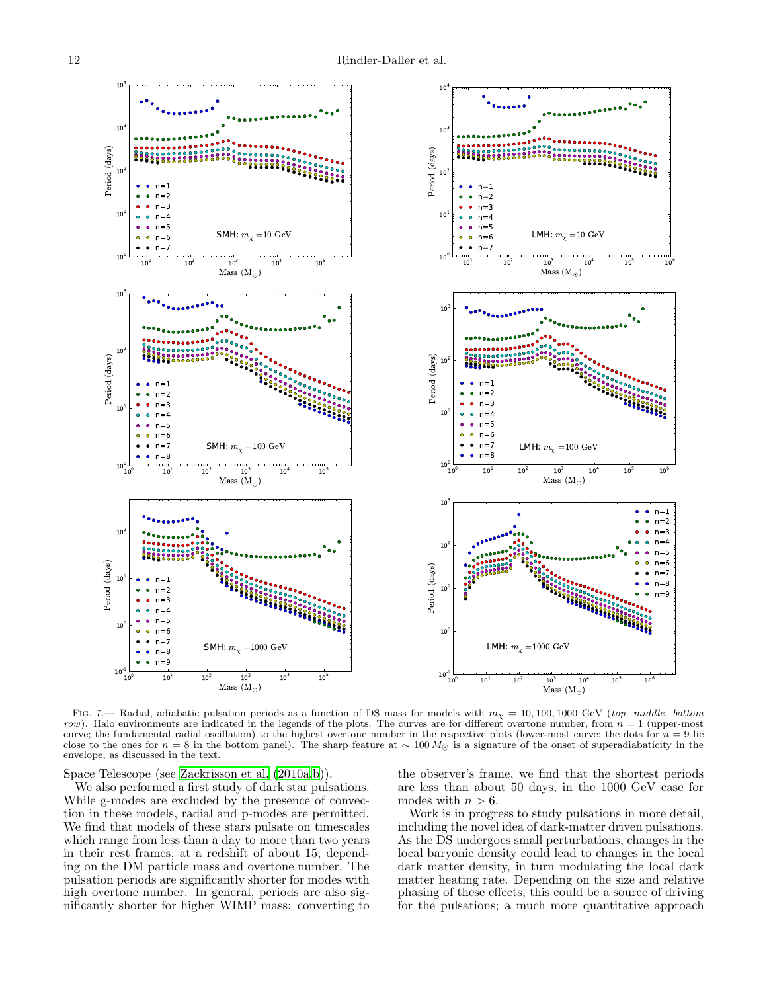

<span id="page-11-0"></span>FIG. 7.— Radial, adiabatic pulsation periods as a function of DS mass for models with  $m<sub>X</sub> = 10, 100, 1000$  GeV (top, middle, bottom row). Halo environments are indicated in the legends of the plots. The curves are for different overtone number, from  $n = 1$  (upper-most curve; the fundamental radial oscillation) to the highest overtone number in the respective plots (lower-most curve; the dots for  $n = 9$  lie<br>close to the ones for  $n = 8$  in the bottom panel). The sharp feature at  $\sim 100 M$ envelope, as discussed in the text.

Space Telescope (see [Zackrisson et al. \(2010a](#page-16-38)[,b](#page-16-39))).

We also performed a first study of dark star pulsations. While g-modes are excluded by the presence of convection in these models, radial and p-modes are permitted. We find that models of these stars pulsate on timescales which range from less than a day to more than two years in their rest frames, at a redshift of about 15, depending on the DM particle mass and overtone number. The pulsation periods are significantly shorter for modes with high overtone number. In general, periods are also significantly shorter for higher WIMP mass: converting to

the observer's frame, we find that the shortest periods are less than about 50 days, in the 1000 GeV case for modes with  $n > 6$ .

Work is in progress to study pulsations in more detail, including the novel idea of dark-matter driven pulsations. As the DS undergoes small perturbations, changes in the local baryonic density could lead to changes in the local dark matter density, in turn modulating the local dark matter heating rate. Depending on the size and relative phasing of these effects, this could be a source of driving for the pulsations; a much more quantitative approach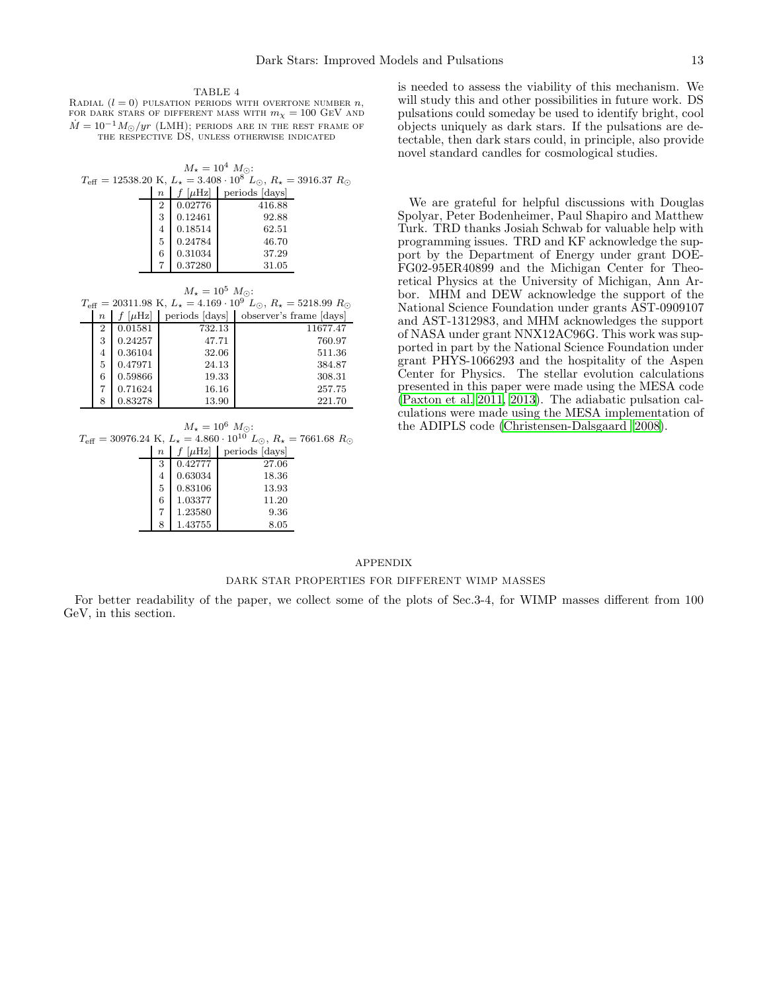<span id="page-12-0"></span>TABLE 4 RADIAL  $(l = 0)$  pulsation periods with overtone number n, FOR DARK STARS OF DIFFERENT MASS WITH  $m_\chi = 100~\mathrm{GeV}$  and  $\dot{M} = 10^{-1} M_{\odot}/yr$  (LMH); periods are in the rest frame of THE RESPECTIVE DS, UNLESS OTHERWISE INDICATED

| $M_{\star} = 10^{4} M_{\odot}$ :<br>$T_{\text{eff}} = 12538.20 \text{ K}, L_{\star} = 3.408 \cdot 10^{8} L_{\odot}, R_{\star} = 3916.37 R_{\odot}$ |                  |         |                                |  |
|----------------------------------------------------------------------------------------------------------------------------------------------------|------------------|---------|--------------------------------|--|
|                                                                                                                                                    |                  |         |                                |  |
|                                                                                                                                                    | $\boldsymbol{n}$ |         | $f$ [ $\mu$ Hz] periods [days] |  |
|                                                                                                                                                    | 2                | 0.02776 | 416.88                         |  |
|                                                                                                                                                    | 3                | 0.12461 | 92.88                          |  |
|                                                                                                                                                    | 4                | 0.18514 | 62.51                          |  |
|                                                                                                                                                    | 5                | 0.24784 | 46.70                          |  |
|                                                                                                                                                    | 6                | 0.31034 | 37.29                          |  |
|                                                                                                                                                    |                  | 0.37280 | 31.05                          |  |

| $M_{\star} = 10^5 M_{\odot}$ : |                                                                                                                |         |        |                                                   |  |  |  |
|--------------------------------|----------------------------------------------------------------------------------------------------------------|---------|--------|---------------------------------------------------|--|--|--|
|                                | $T_{\text{eff}} = 20311.98 \text{ K}, L_{\star} = 4.169 \cdot 10^{9} L_{\odot}, R_{\star} = 5218.99 R_{\odot}$ |         |        |                                                   |  |  |  |
|                                | $\boldsymbol{n}$                                                                                               |         |        | $[\mu Hz]$ periods [days] observer's frame [days] |  |  |  |
|                                | 2                                                                                                              | 0.01581 | 732.13 | 11677.47                                          |  |  |  |
|                                | 3                                                                                                              | 0.24257 | 47.71  | 760.97                                            |  |  |  |
|                                | $\overline{4}$                                                                                                 | 0.36104 | 32.06  | 511.36                                            |  |  |  |
|                                | 5                                                                                                              | 0.47971 | 24.13  | 384.87                                            |  |  |  |
|                                | 6                                                                                                              | 0.59866 | 19.33  | 308.31                                            |  |  |  |
|                                |                                                                                                                | 0.71624 | 16.16  | 257.75                                            |  |  |  |
|                                | 8                                                                                                              | 0.83278 | 13.90  | 221.70                                            |  |  |  |

$$
M_{\star} = 10^{6} \ M_{\odot}
$$
:  

$$
T_{\text{eff}} = 30976.24 \ \text{K}, \ L_{\star} = 4.860 \cdot 10^{10} \ L_{\odot}, \ R_{\star} = 7661.68 \ R_{\odot}
$$

| $\boldsymbol{n}$ | $[\mu \rm Hz]$ | periods [days] |
|------------------|----------------|----------------|
| 3                | 0.42777        | 27.06          |
| 4                | 0.63034        | 18.36          |
| 5                | 0.83106        | 13.93          |
| 6                | 1.03377        | 11.20          |
|                  | 1.23580        | 9.36           |
| 8                | 1.43755        | 8.05           |

is needed to assess the viability of this mechanism. We will study this and other possibilities in future work. DS pulsations could someday be used to identify bright, cool objects uniquely as dark stars. If the pulsations are detectable, then dark stars could, in principle, also provide novel standard candles for cosmological studies.

We are grateful for helpful discussions with Douglas Spolyar, Peter Bodenheimer, Paul Shapiro and Matthew Turk. TRD thanks Josiah Schwab for valuable help with programming issues. TRD and KF acknowledge the support by the Department of Energy under grant DOE-FG02-95ER40899 and the Michigan Center for Theoretical Physics at the University of Michigan, Ann Arbor. MHM and DEW acknowledge the support of the National Science Foundation under grants AST-0909107 and AST-1312983, and MHM acknowledges the support of NASA under grant NNX12AC96G. This work was supported in part by the National Science Foundation under grant PHYS-1066293 and the hospitality of the Aspen Center for Physics. The stellar evolution calculations presented in this paper were made using the MESA code [\(Paxton et al. 2011,](#page-16-29) [2013\)](#page-16-30). The adiabatic pulsation calculations were made using the MESA implementation of the ADIPLS code [\(Christensen-Dalsgaard 2008\)](#page-16-40).

# APPENDIX

# DARK STAR PROPERTIES FOR DIFFERENT WIMP MASSES

For better readability of the paper, we collect some of the plots of Sec.3-4, for WIMP masses different from 100 GeV, in this section.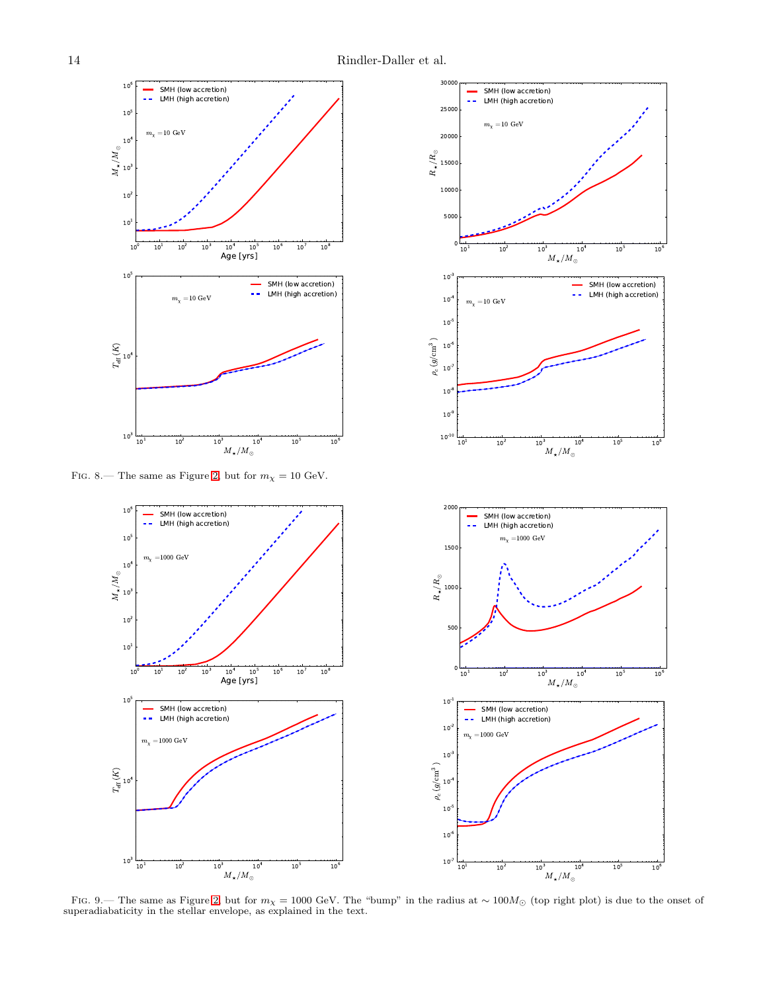300



FIG. 8.— The same as Figure [2,](#page-5-1) but for  $m_\chi=10$  GeV.

SMH (low accretion)<br>LMH (high accretion)

SMH (low accretion) LMH (high accretion)

10<sup>4</sup> 10<sup>5</sup><br>Age [yrs]

 $10<sup>6</sup>$ 

 $10^7$  $\overline{10^8}$ 

 $10<sup>6</sup>$  $10$  $10$  $10$ 

> $\overline{m}$  $=1000 \text{ GeV}$

<span id="page-13-1"></span> $\overline{10}$ <sup>1</sup>

 $10<sup>3</sup>$ 

 $\stackrel{\textstyle\cup}{\mathbb{H}}$  10<sup>4</sup>

 $\Xi$ 

 $\frac{1}{10^2}$ 

 $10^5$ 

 $10^{\prime}$ 

 $M_{\star}/M_{\odot}$ 

 $\overline{10}^5$ 

 $\frac{1}{10^6}$ 

 $10\,$ 

 $10$ 

 $10<sup>2</sup>$ 

 $\sum_{\lambda=1}^N M_{\odot}$  $10^{\prime}$ 

 $10^{\circ}$ 

 $\overline{m}$  $_{\chi}$  =1000 GeV

<span id="page-13-0"></span> $10$ 



FIG. 9.— The same as Figure [2,](#page-5-1) but for  $m<sub>X</sub> = 1000$  GeV. The "bump" in the radius at ~ 100 $M<sub>\odot</sub>$  (top right plot) is due to the onset of superadiabaticity in the stellar envelope, as explained in the text.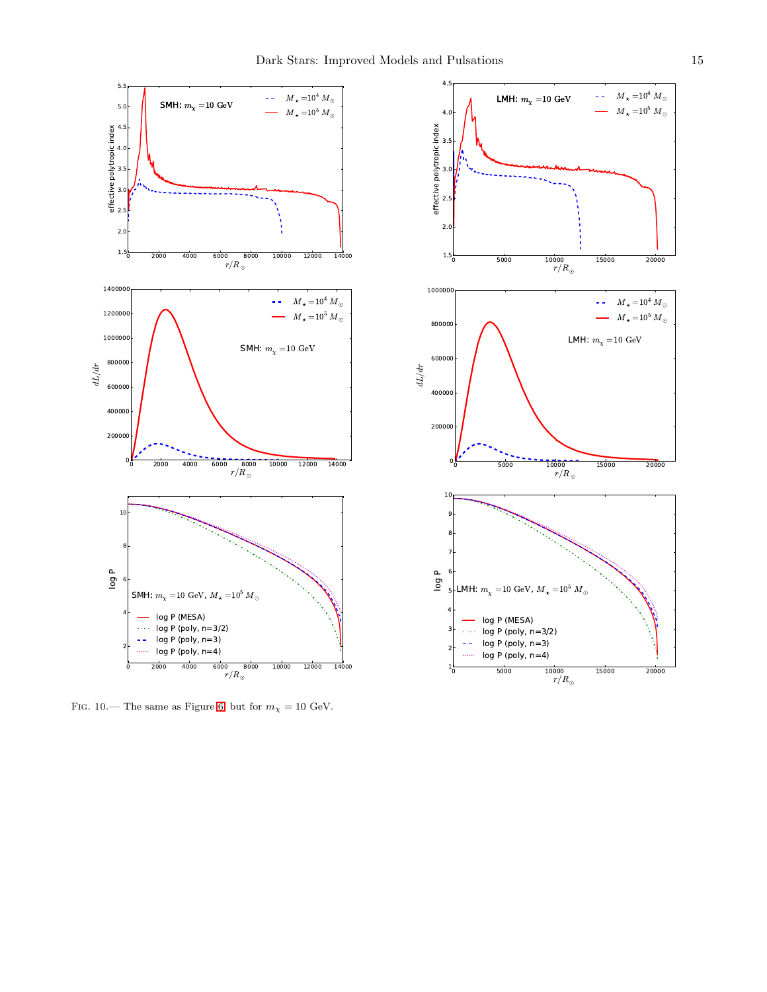

<span id="page-14-0"></span>FIG. 10.— The same as Figure [6,](#page-9-0) but for  $m_\chi=10$  GeV.

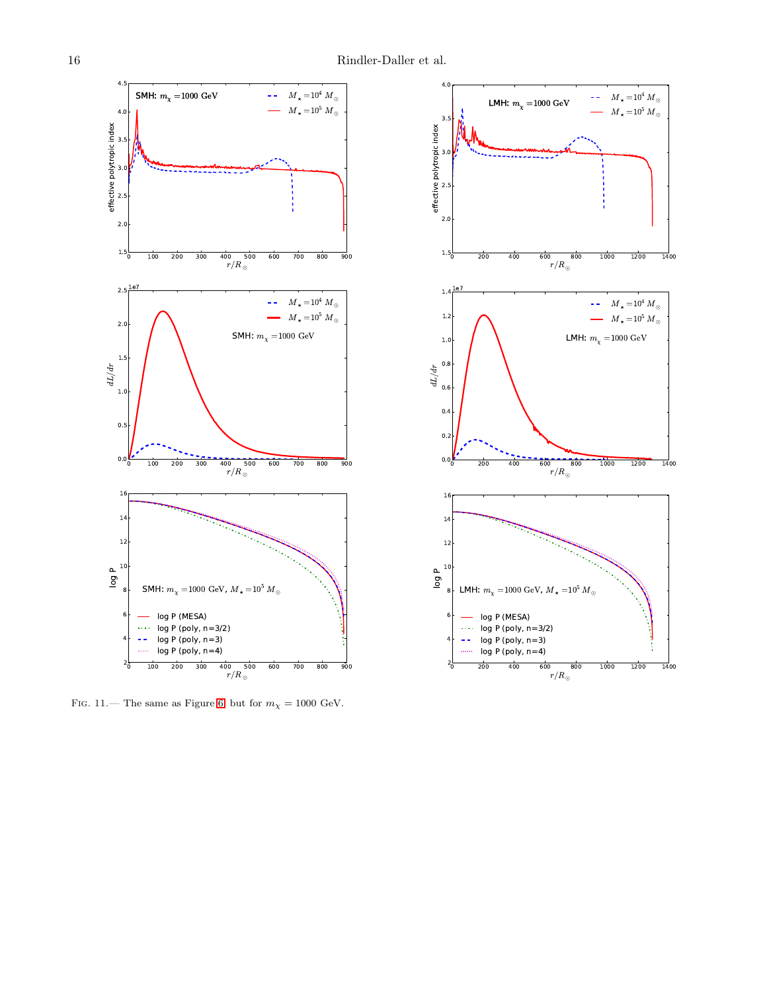![](_page_15_Figure_2.jpeg)

<span id="page-15-0"></span>FIG. 11.— The same as Figure 6, but for  $m_{\chi} = 1000 \text{ GeV}$ .

![](_page_15_Figure_4.jpeg)